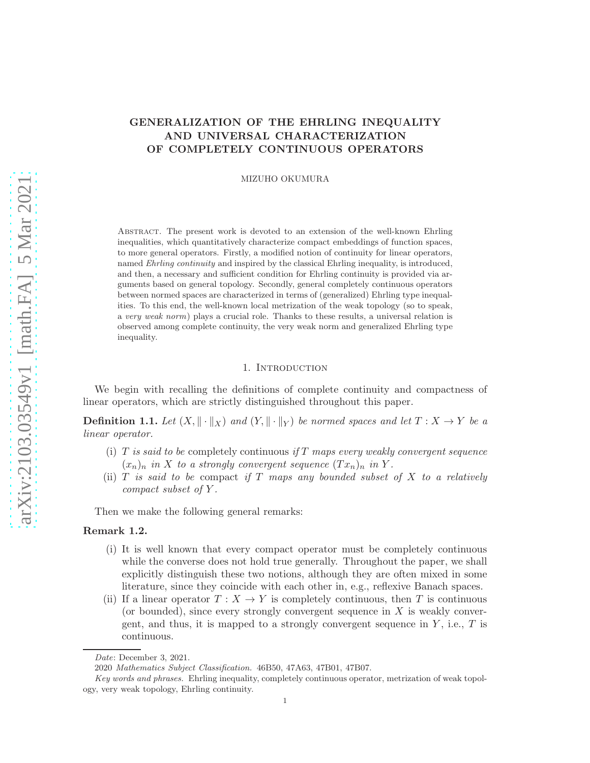# GENERALIZATION OF THE EHRLING INEQUALITY AND UNIVERSAL CHARACTERIZATION OF COMPLETELY CONTINUOUS OPERATORS

MIZUHO OKUMURA

Abstract. The present work is devoted to an extension of the well-known Ehrling inequalities, which quantitatively characterize compact embeddings of function spaces, to more general operators. Firstly, a modified notion of continuity for linear operators, named Ehrling continuity and inspired by the classical Ehrling inequality, is introduced, and then, a necessary and sufficient condition for Ehrling continuity is provided via arguments based on general topology. Secondly, general completely continuous operators between normed spaces are characterized in terms of (generalized) Ehrling type inequalities. To this end, the well-known local metrization of the weak topology (so to speak, a very weak norm) plays a crucial role. Thanks to these results, a universal relation is observed among complete continuity, the very weak norm and generalized Ehrling type inequality.

### 1. Introduction

We begin with recalling the definitions of complete continuity and compactness of linear operators, which are strictly distinguished throughout this paper.

**Definition 1.1.** Let  $(X, \|\cdot\|_X)$  and  $(Y, \|\cdot\|_Y)$  be normed spaces and let  $T : X \to Y$  be a linear operator.

- (i) T is said to be completely continuous if T maps every weakly convergent sequence  $(x_n)_n$  in X to a strongly convergent sequence  $(Tx_n)_n$  in Y.
- (ii)  $T$  is said to be compact if  $T$  maps any bounded subset of  $X$  to a relatively compact subset of Y .

Then we make the following general remarks:

## Remark 1.2.

- (i) It is well known that every compact operator must be completely continuous while the converse does not hold true generally. Throughout the paper, we shall explicitly distinguish these two notions, although they are often mixed in some literature, since they coincide with each other in, e.g., reflexive Banach spaces.
- (ii) If a linear operator  $T : X \to Y$  is completely continuous, then T is continuous (or bounded), since every strongly convergent sequence in  $X$  is weakly convergent, and thus, it is mapped to a strongly convergent sequence in  $Y$ , i.e.,  $T$  is continuous.

Date: December 3, 2021.

<sup>2020</sup> Mathematics Subject Classification. 46B50, 47A63, 47B01, 47B07.

Key words and phrases. Ehrling inequality, completely continuous operator, metrization of weak topology, very weak topology, Ehrling continuity.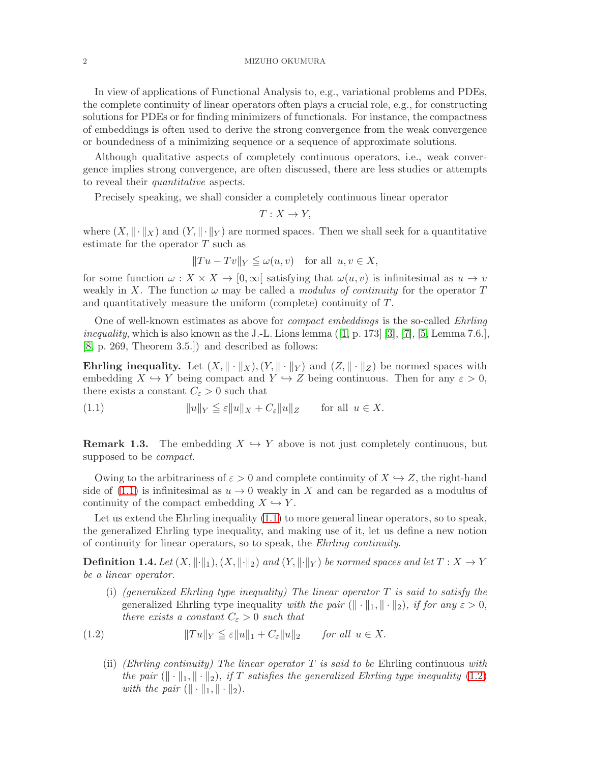#### 2 MIZUHO OKUMURA

In view of applications of Functional Analysis to, e.g., variational problems and PDEs, the complete continuity of linear operators often plays a crucial role, e.g., for constructing solutions for PDEs or for finding minimizers of functionals. For instance, the compactness of embeddings is often used to derive the strong convergence from the weak convergence or boundedness of a minimizing sequence or a sequence of approximate solutions.

Although qualitative aspects of completely continuous operators, i.e., weak convergence implies strong convergence, are often discussed, there are less studies or attempts to reveal their quantitative aspects.

Precisely speaking, we shall consider a completely continuous linear operator

$$
T: X \to Y,
$$

where  $(X, \|\cdot\|_X)$  and  $(Y, \|\cdot\|_Y)$  are normed spaces. Then we shall seek for a quantitative estimate for the operator T such as

$$
||Tu - Tv||_Y \leq \omega(u, v)
$$
 for all  $u, v \in X$ ,

for some function  $\omega : X \times X \to [0, \infty]$  satisfying that  $\omega(u, v)$  is infinitesimal as  $u \to v$ weakly in X. The function  $\omega$  may be called a *modulus of continuity* for the operator T and quantitatively measure the uniform (complete) continuity of T.

One of well-known estimates as above for compact embeddings is the so-called Ehrling *inequality*, which is also known as the J.-L. Lions lemma  $(1, p. 173)$  [\[3\]](#page-13-1), [\[7\]](#page-13-2), [\[5,](#page-13-3) Lemma 7.6.], [\[8,](#page-13-4) p. 269, Theorem 3.5.]) and described as follows:

Ehrling inequality. Let  $(X, \|\cdot\|_X), (Y, \|\cdot\|_Y)$  and  $(Z, \|\cdot\|_Z)$  be normed spaces with embedding  $X \hookrightarrow Y$  being compact and  $Y \hookrightarrow Z$  being continuous. Then for any  $\varepsilon > 0$ , there exists a constant  $C_{\varepsilon} > 0$  such that

<span id="page-1-0"></span>(1.1)  $||u||_Y \leq \varepsilon ||u||_X + C_{\varepsilon} ||u||_Z$  for all  $u \in X$ .

**Remark 1.3.** The embedding  $X \hookrightarrow Y$  above is not just completely continuous, but supposed to be compact.

Owing to the arbitrariness of  $\varepsilon > 0$  and complete continuity of  $X \hookrightarrow Z$ , the right-hand side of [\(1.1\)](#page-1-0) is infinitesimal as  $u \to 0$  weakly in X and can be regarded as a modulus of continuity of the compact embedding  $X \hookrightarrow Y$ .

Let us extend the Ehrling inequality [\(1.1\)](#page-1-0) to more general linear operators, so to speak, the generalized Ehrling type inequality, and making use of it, let us define a new notion of continuity for linear operators, so to speak, the Ehrling continuity.

**Definition 1.4.** Let  $(X, \|\cdot\|_1), (X, \|\cdot\|_2)$  and  $(Y, \|\cdot\|_Y)$  be normed spaces and let  $T : X \to Y$ be a linear operator.

(i) (generalized Ehrling type inequality) The linear operator  $T$  is said to satisfy the generalized Ehrling type inequality with the pair  $(\Vert \cdot \Vert_1, \Vert \cdot \Vert_2)$ , if for any  $\varepsilon > 0$ , there exists a constant  $C_{\varepsilon} > 0$  such that

$$
(1.2) \t\t\t ||Tu||_Y \leq \varepsilon ||u||_1 + C_{\varepsilon} ||u||_2 \t\t for all  $u \in X$ .
$$

<span id="page-1-1"></span>(ii) (Ehrling continuity) The linear operator  $T$  is said to be Ehrling continuous with the pair  $(\|\cdot\|_1, \|\cdot\|_2)$ , if T satisfies the generalized Ehrling type inequality [\(1.2\)](#page-1-1) with the pair  $(\Vert \cdot \Vert_1, \Vert \cdot \Vert_2).$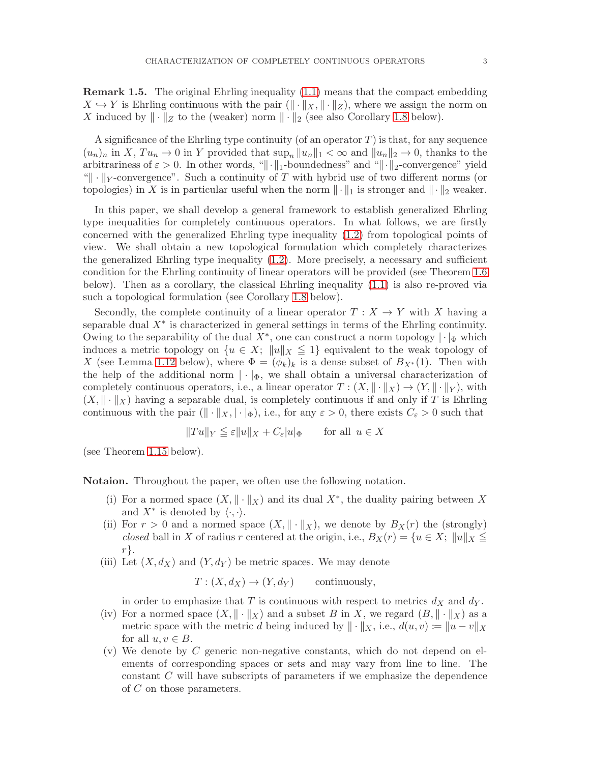Remark 1.5. The original Ehrling inequality [\(1.1\)](#page-1-0) means that the compact embedding  $X \hookrightarrow Y$  is Ehrling continuous with the pair  $(\Vert \cdot \Vert_X, \Vert \cdot \Vert_Z)$ , where we assign the norm on X induced by  $\|\cdot\|_Z$  to the (weaker) norm  $\|\cdot\|_2$  (see also Corollary [1.8](#page-3-0) below).

A significance of the Ehrling type continuity (of an operator  $T$ ) is that, for any sequence  $(u_n)_n$  in X,  $Tu_n \to 0$  in Y provided that  $\sup_n ||u_n||_1 < \infty$  and  $||u_n||_2 \to 0$ , thanks to the arbitrariness of  $\varepsilon > 0$ . In other words, " $\|\cdot\|_1$ -boundedness" and " $\|\cdot\|_2$ -convergence" yield " $\|\cdot\|_Y$ -convergence". Such a continuity of T with hybrid use of two different norms (or topologies) in X is in particular useful when the norm  $\|\cdot\|_1$  is stronger and  $\|\cdot\|_2$  weaker.

In this paper, we shall develop a general framework to establish generalized Ehrling type inequalities for completely continuous operators. In what follows, we are firstly concerned with the generalized Ehrling type inequality [\(1.2\)](#page-1-1) from topological points of view. We shall obtain a new topological formulation which completely characterizes the generalized Ehrling type inequality [\(1.2\)](#page-1-1). More precisely, a necessary and sufficient condition for the Ehrling continuity of linear operators will be provided (see Theorem [1.6](#page-3-1) below). Then as a corollary, the classical Ehrling inequality [\(1.1\)](#page-1-0) is also re-proved via such a topological formulation (see Corollary [1.8](#page-3-0) below).

Secondly, the complete continuity of a linear operator  $T : X \to Y$  with X having a separable dual  $X^*$  is characterized in general settings in terms of the Ehrling continuity. Owing to the separability of the dual  $X^*$ , one can construct a norm topology  $|\cdot|_{\Phi}$  which induces a metric topology on  $\{u \in X; \|u\|_X \leq 1\}$  equivalent to the weak topology of X (see Lemma [1.12](#page-4-0) below), where  $\Phi = (\phi_k)_k$  is a dense subset of  $B_{X^*}(1)$ . Then with the help of the additional norm  $|\cdot|_{\Phi}$ , we shall obtain a universal characterization of completely continuous operators, i.e., a linear operator  $T : (X, \|\cdot\|_X) \to (Y, \|\cdot\|_Y)$ , with  $(X, \|\cdot\|_X)$  having a separable dual, is completely continuous if and only if T is Ehrling continuous with the pair  $(\|\cdot\|_X, |\cdot|_\Phi)$ , i.e., for any  $\varepsilon > 0$ , there exists  $C_{\varepsilon} > 0$  such that

$$
||Tu||_Y \leqq \varepsilon ||u||_X + C_{\varepsilon} |u|_{\Phi} \qquad \text{for all } u \in X
$$

(see Theorem [1.15](#page-5-0) below).

Notaion. Throughout the paper, we often use the following notation.

- (i) For a normed space  $(X, \|\cdot\|_X)$  and its dual  $X^*$ , the duality pairing between X and  $X^*$  is denoted by  $\langle \cdot, \cdot \rangle$ .
- (ii) For  $r > 0$  and a normed space  $(X, \|\cdot\|_X)$ , we denote by  $B_X(r)$  the (strongly) closed ball in X of radius r centered at the origin, i.e.,  $B_X(r) = \{u \in X; ||u||_X \leq$ r}.
- (iii) Let  $(X, d_X)$  and  $(Y, d_Y)$  be metric spaces. We may denote

 $T: (X, d_X) \to (Y, d_Y)$  continuously,

in order to emphasize that T is continuous with respect to metrics  $d_X$  and  $d_Y$ .

- (iv) For a normed space  $(X, \|\cdot\|_X)$  and a subset B in X, we regard  $(B, \|\cdot\|_X)$  as a metric space with the metric d being induced by  $\|\cdot\|_X$ , i.e.,  $d(u, v) \coloneqq \|u - v\|_X$ for all  $u, v \in B$ .
- $(v)$  We denote by C generic non-negative constants, which do not depend on elements of corresponding spaces or sets and may vary from line to line. The constant  $C$  will have subscripts of parameters if we emphasize the dependence of C on those parameters.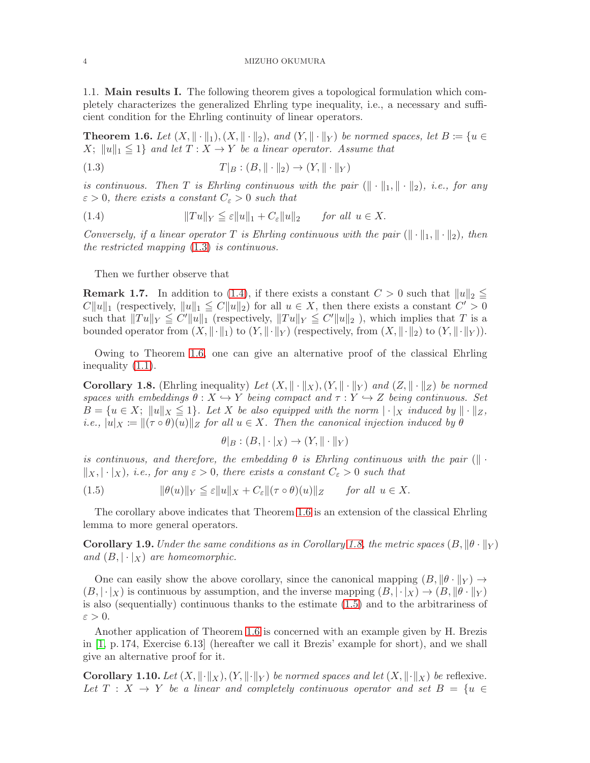1.1. Main results I. The following theorem gives a topological formulation which completely characterizes the generalized Ehrling type inequality, i.e., a necessary and sufficient condition for the Ehrling continuity of linear operators.

<span id="page-3-1"></span>**Theorem 1.6.** Let  $(X, \|\cdot\|_1), (X, \|\cdot\|_2)$ , and  $(Y, \|\cdot\|_Y)$  be normed spaces, let  $B \coloneqq \{u \in$  $X$ ;  $||u||_1 \leq 1$  and let  $T : X \to Y$  be a linear operator. Assume that

<span id="page-3-2"></span>(1.3)  $T|_B : (B, \|\cdot\|_2) \to (Y, \|\cdot\|_Y)$ 

is continuous. Then T is Ehrling continuous with the pair  $(\Vert \cdot \Vert_1, \Vert \cdot \Vert_2)$ , i.e., for any  $\varepsilon > 0$ , there exists a constant  $C_{\varepsilon} > 0$  such that

<span id="page-3-3"></span>(1.4) 
$$
||Tu||_Y \leqq \varepsilon ||u||_1 + C_{\varepsilon} ||u||_2 \quad \text{for all } u \in X.
$$

Conversely, if a linear operator T is Ehrling continuous with the pair  $(\|\cdot\|_1, \|\cdot\|_2)$ , then the restricted mapping [\(1.3\)](#page-3-2) is continuous.

Then we further observe that

**Remark 1.7.** In addition to [\(1.4\)](#page-3-3), if there exists a constant  $C > 0$  such that  $||u||_2 \le$  $C||u||_1$  (respectively,  $||u||_1 \leq C||u||_2$ ) for all  $u \in X$ , then there exists a constant  $C' > 0$ such that  $||Tu||_Y \leq C'||u||_1$  (respectively,  $||Tu||_Y \leq C'||u||_2$ ), which implies that T is a bounded operator from  $(X, \|\cdot\|_1)$  to  $(Y, \|\cdot\|_Y)$  (respectively, from  $(X, \|\cdot\|_2)$  to  $(Y, \|\cdot\|_Y)$ ).

Owing to Theorem [1.6,](#page-3-1) one can give an alternative proof of the classical Ehrling inequality [\(1.1\)](#page-1-0).

<span id="page-3-0"></span>**Corollary 1.8.** (Ehrling inequality) Let  $(X, \|\cdot\|_X), (Y, \|\cdot\|_Y)$  and  $(Z, \|\cdot\|_Z)$  be normed spaces with embeddings  $\theta : X \hookrightarrow Y$  being compact and  $\tau : Y \hookrightarrow Z$  being continuous. Set  $B = \{u \in X; ||u||_X \leq 1\}$ . Let X be also equipped with the norm  $||\cdot||_X$  induced by  $||\cdot||_Z$ , i.e.,  $|u|_X := ||(\tau \circ \theta)(u)||_Z$  for all  $u \in X$ . Then the canonical injection induced by  $\theta$ 

$$
\theta|_B : (B, |\cdot|_X) \to (Y, \|\cdot\|_Y)
$$

is continuous, and therefore, the embedding  $\theta$  is Ehrling continuous with the pair ( $\|\cdot\|$  $\|x, \cdot\|_X$ , i.e., for any  $\varepsilon > 0$ , there exists a constant  $C_{\varepsilon} > 0$  such that

<span id="page-3-4"></span>(1.5)  $\|\theta(u)\|_Y \leq \varepsilon \|u\|_X + C_{\varepsilon} \|(\tau \circ \theta)(u)\|_Z$  for all  $u \in X$ .

The corollary above indicates that Theorem [1.6](#page-3-1) is an extension of the classical Ehrling lemma to more general operators.

<span id="page-3-6"></span>**Corollary 1.9.** Under the same conditions as in Corollary [1.8,](#page-3-0) the metric spaces  $(B, \|\theta \cdot \|_Y)$ and  $(B, |\cdot|_X)$  are homeomorphic.

One can easily show the above corollary, since the canonical mapping  $(B, \|\theta\|_Y) \to$  $(B, |\cdot|_X)$  is continuous by assumption, and the inverse mapping  $(B, |\cdot|_X) \rightarrow (B, \|\theta \cdot \|_Y)$ is also (sequentially) continuous thanks to the estimate [\(1.5\)](#page-3-4) and to the arbitrariness of  $\varepsilon > 0$ .

Another application of Theorem [1.6](#page-3-1) is concerned with an example given by H. Brezis in [\[1,](#page-13-0) p. 174, Exercise 6.13] (hereafter we call it Brezis' example for short), and we shall give an alternative proof for it.

<span id="page-3-5"></span>**Corollary 1.10.** Let  $(X, \|\cdot\|_X), (Y, \|\cdot\|_Y)$  be normed spaces and let  $(X, \|\cdot\|_X)$  be reflexive. Let  $T : X \rightarrow Y$  be a linear and completely continuous operator and set  $B = \{u \in$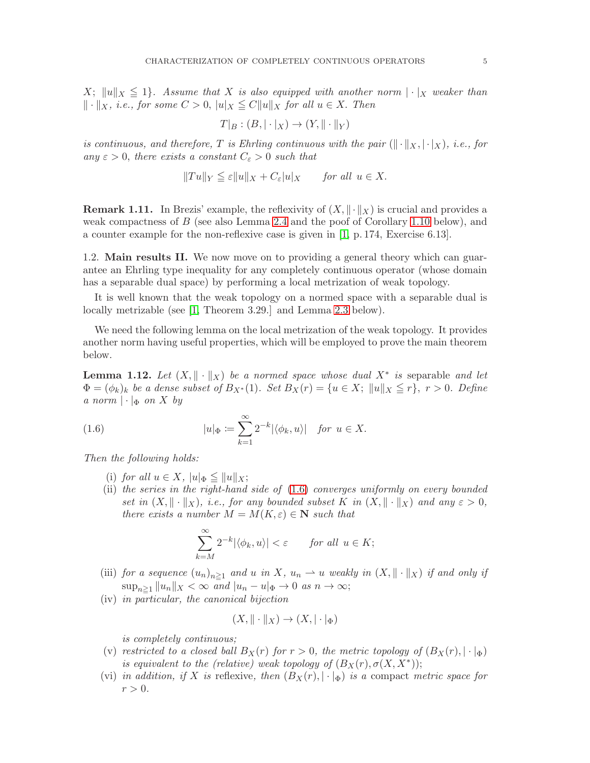$X$ ;  $||u||_X \leq 1$ . Assume that X is also equipped with another norm  $|\cdot|_X$  weaker than  $\Vert \cdot \Vert_X$ , i.e., for some  $C > 0$ ,  $\Vert u \Vert_X \leq C \Vert u \Vert_X$  for all  $u \in X$ . Then

$$
T|_B : (B, |\cdot|_X) \to (Y, \|\cdot\|_Y)
$$

is continuous, and therefore, T is Ehrling continuous with the pair  $(\Vert \cdot \Vert_X, \cdot \vert_X)$ , i.e., for any  $\varepsilon > 0$ , there exists a constant  $C_{\varepsilon} > 0$  such that

$$
||Tu||_Y \leq \varepsilon ||u||_X + C_{\varepsilon} |u|_X
$$
 for all  $u \in X$ .

**Remark 1.11.** In Brezis' example, the reflexivity of  $(X, \|\cdot\|_X)$  is crucial and provides a weak compactness of B (see also Lemma [2.4](#page-7-0) and the poof of Corollary [1.10](#page-3-5) below), and a counter example for the non-reflexive case is given in [\[1,](#page-13-0) p. 174, Exercise 6.13].

1.2. Main results II. We now move on to providing a general theory which can guarantee an Ehrling type inequality for any completely continuous operator (whose domain has a separable dual space) by performing a local metrization of weak topology.

It is well known that the weak topology on a normed space with a separable dual is locally metrizable (see [\[1,](#page-13-0) Theorem 3.29.] and Lemma [2.3](#page-7-1) below).

We need the following lemma on the local metrization of the weak topology. It provides another norm having useful properties, which will be employed to prove the main theorem below.

<span id="page-4-0"></span>**Lemma 1.12.** Let  $(X, \|\cdot\|_X)$  be a normed space whose dual  $X^*$  is separable and let  $\Phi = (\phi_k)_k$  be a dense subset of  $B_{X^*}(1)$ . Set  $B_X(r) = \{u \in X; ||u||_X \le r\}$ ,  $r > 0$ . Define a norm  $|\cdot|_{\Phi}$  on X by

(1.6) 
$$
|u|_{\Phi} \coloneqq \sum_{k=1}^{\infty} 2^{-k} |\langle \phi_k, u \rangle| \quad \text{for } u \in X.
$$

Then the following holds:

- (i) for all  $u \in X$ ,  $|u|_{\Phi} \leq ||u||_X$ ;
- (ii) the series in the right-hand side of [\(1.6\)](#page-4-1) converges uniformly on every bounded set in  $(X, \|\cdot\|_X)$ , i.e., for any bounded subset K in  $(X, \|\cdot\|_X)$  and any  $\varepsilon > 0$ , there exists a number  $M = M(K, \varepsilon) \in \mathbb{N}$  such that

<span id="page-4-1"></span>
$$
\sum_{k=M}^{\infty} 2^{-k} |\langle \phi_k, u \rangle| < \varepsilon \qquad \text{for all } u \in K;
$$

- (iii) for a sequence  $(u_n)_{n\geq 1}$  and u in X,  $u_n \rightharpoonup u$  weakly in  $(X, \|\cdot\|_X)$  if and only if  $\sup_{n\geq 1} ||u_n||_X < \infty$  and  $|u_n - u|_{\Phi} \to 0$  as  $n \to \infty;$
- (iv) in particular, the canonical bijection

$$
(X, \|\cdot\|_X) \to (X, |\cdot|_{\Phi})
$$

is completely continuous;

- (v) restricted to a closed ball  $B_X(r)$  for  $r > 0$ , the metric topology of  $(B_X(r), |\cdot|_{\Phi})$ is equivalent to the (relative) weak topology of  $(B_X(r), \sigma(X, X^*))$ ;
- (vi) in addition, if X is reflexive, then  $(B_X(r), |\cdot|_{\Phi})$  is a compact metric space for  $r > 0$ .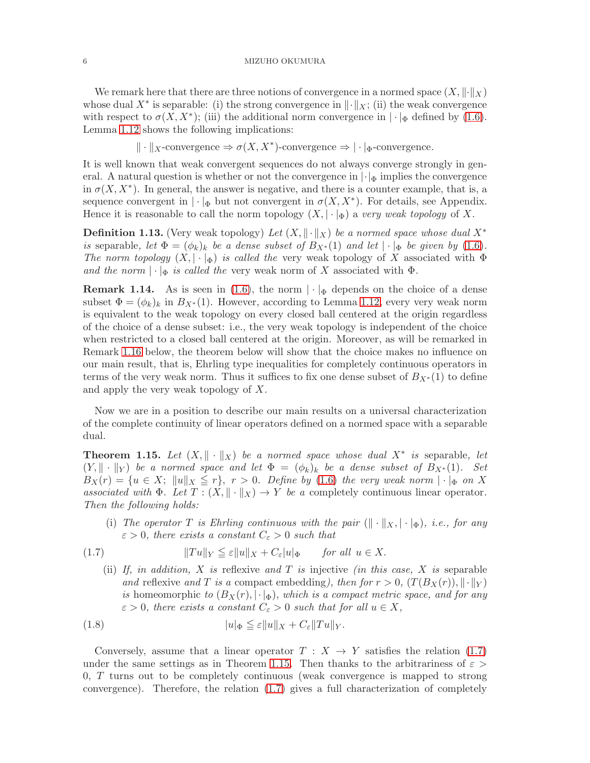We remark here that there are three notions of convergence in a normed space  $(X, \|\cdot\|_X)$ whose dual  $X^*$  is separable: (i) the strong convergence in  $\|\cdot\|_X$ ; (ii) the weak convergence with respect to  $\sigma(X, X^*)$ ; (iii) the additional norm convergence in  $|\cdot|_{\Phi}$  defined by [\(1.6\)](#page-4-1). Lemma [1.12](#page-4-0) shows the following implications:

 $\Vert \cdot \Vert_{X}$ -convergence  $\Rightarrow \sigma(X, X^*)$ -convergence  $\Rightarrow |\cdot|_{\Phi}$ -convergence.

It is well known that weak convergent sequences do not always converge strongly in general. A natural question is whether or not the convergence in  $|\cdot|_{\Phi}$  implies the convergence in  $\sigma(X, X^*)$ . In general, the answer is negative, and there is a counter example, that is, a sequence convergent in  $|\cdot|_{\Phi}$  but not convergent in  $\sigma(X, X^*)$ . For details, see Appendix. Hence it is reasonable to call the norm topology  $(X, |\cdot|_\Phi)$  a very weak topology of X.

<span id="page-5-3"></span>**Definition 1.13.** (Very weak topology) Let  $(X, \|\cdot\|_X)$  be a normed space whose dual  $X^*$ is separable, let  $\Phi = (\phi_k)_k$  be a dense subset of  $B_{X^*}(1)$  and let  $|\cdot|_{\Phi}$  be given by [\(1.6\)](#page-4-1). The norm topology  $(X, |\cdot|_{\Phi})$  is called the very weak topology of X associated with  $\Phi$ and the norm  $|\cdot|_{\Phi}$  is called the very weak norm of X associated with  $\Phi$ .

**Remark 1.14.** As is seen in [\(1.6\)](#page-4-1), the norm  $|\cdot|_{\Phi}$  depends on the choice of a dense subset  $\Phi = (\phi_k)_k$  in  $B_{X^*}(1)$ . However, according to Lemma [1.12,](#page-4-0) every very weak norm is equivalent to the weak topology on every closed ball centered at the origin regardless of the choice of a dense subset: i.e., the very weak topology is independent of the choice when restricted to a closed ball centered at the origin. Moreover, as will be remarked in Remark [1.16](#page-6-0) below, the theorem below will show that the choice makes no influence on our main result, that is, Ehrling type inequalities for completely continuous operators in terms of the very weak norm. Thus it suffices to fix one dense subset of  $B_{X*}(1)$  to define and apply the very weak topology of X.

Now we are in a position to describe our main results on a universal characterization of the complete continuity of linear operators defined on a normed space with a separable dual.

<span id="page-5-0"></span>**Theorem 1.15.** Let  $(X, \|\cdot\|_X)$  be a normed space whose dual  $X^*$  is separable, let  $(Y, \|\cdot\|_Y)$  be a normed space and let  $\Phi = (\phi_k)_k$  be a dense subset of  $B_{X^*}(1)$ . Set  $B_X(r) = \{u \in X; ||u||_X \leq r\}, r > 0.$  Define by [\(1.6\)](#page-4-1) the very weak norm  $|\cdot|_{\Phi}$  on X associated with  $\Phi$ . Let  $T : (X, \|\cdot\|_X) \to Y$  be a completely continuous linear operator. Then the following holds:

<span id="page-5-1"></span>(i) The operator T is Ehrling continuous with the pair  $(\Vert \cdot \Vert_X, \cdot \Vert_{\Phi})$ , i.e., for any  $\varepsilon > 0$ , there exists a constant  $C_{\varepsilon} > 0$  such that

(1.7) 
$$
||Tu||_Y \leqq \varepsilon ||u||_X + C_{\varepsilon} |u|_{\Phi} \quad \text{for all } u \in X.
$$

<span id="page-5-2"></span>(ii) If, in addition, X is reflexive and T is injective (in this case, X is separable and reflexive and T is a compact embedding), then for  $r > 0$ ,  $(T(B_X(r)), \|\cdot\|_Y)$ is homeomorphic to  $(B_X(r), |\cdot|_\Phi)$ , which is a compact metric space, and for any  $\varepsilon > 0$ , there exists a constant  $C_{\varepsilon} > 0$  such that for all  $u \in X$ ,

(1.8) 
$$
|u|_{\Phi} \leq \varepsilon ||u||_X + C_{\varepsilon} ||Tu||_Y.
$$

Conversely, assume that a linear operator  $T : X \rightarrow Y$  satisfies the relation [\(1.7\)](#page-5-1) under the same settings as in Theorem [1.15.](#page-5-0) Then thanks to the arbitrariness of  $\varepsilon >$ 0, T turns out to be completely continuous (weak convergence is mapped to strong convergence). Therefore, the relation [\(1.7\)](#page-5-1) gives a full characterization of completely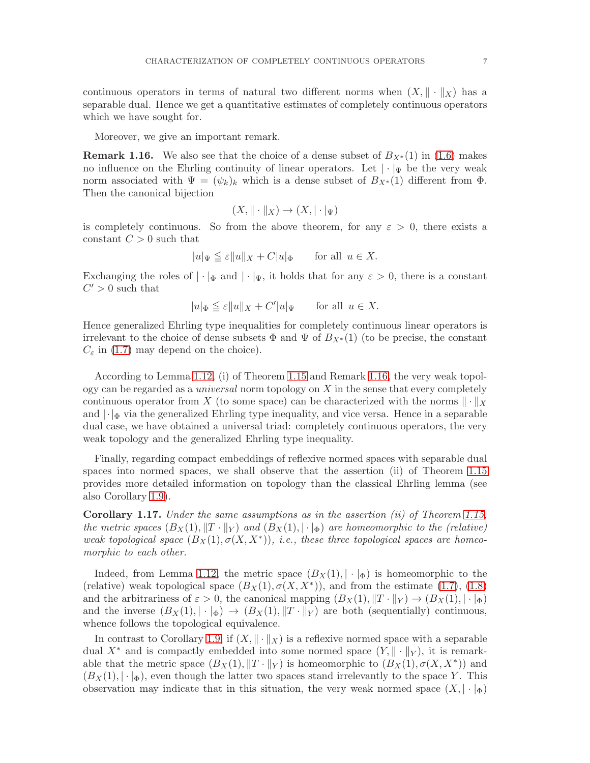continuous operators in terms of natural two different norms when  $(X, \| \cdot \|_X)$  has a separable dual. Hence we get a quantitative estimates of completely continuous operators which we have sought for.

Moreover, we give an important remark.

<span id="page-6-0"></span>**Remark 1.16.** We also see that the choice of a dense subset of  $B_{X*}(1)$  in [\(1.6\)](#page-4-1) makes no influence on the Ehrling continuity of linear operators. Let  $|\cdot|_{\Psi}$  be the very weak norm associated with  $\Psi = (\psi_k)_k$  which is a dense subset of  $B_{X^*}(1)$  different from  $\Phi$ . Then the canonical bijection

$$
(X, \|\cdot\|_X) \to (X, |\cdot|_\Psi)
$$

is completely continuous. So from the above theorem, for any  $\varepsilon > 0$ , there exists a constant  $C > 0$  such that

$$
|u|_{\Psi} \leqq \varepsilon ||u||_{X} + C|u|_{\Phi} \quad \text{for all } u \in X.
$$

Exchanging the roles of  $|\cdot|_{\Phi}$  and  $|\cdot|_{\Psi}$ , it holds that for any  $\varepsilon > 0$ , there is a constant  $C' > 0$  such that

$$
|u|_{\Phi} \leqq \varepsilon ||u||_X + C' |u|_{\Psi} \quad \text{for all } u \in X.
$$

Hence generalized Ehrling type inequalities for completely continuous linear operators is irrelevant to the choice of dense subsets  $\Phi$  and  $\Psi$  of  $B_{X*}(1)$  (to be precise, the constant  $C_{\varepsilon}$  in [\(1.7\)](#page-5-1) may depend on the choice).

According to Lemma [1.12,](#page-4-0) (i) of Theorem [1.15](#page-5-0) and Remark [1.16,](#page-6-0) the very weak topology can be regarded as a *universal* norm topology on  $X$  in the sense that every completely continuous operator from X (to some space) can be characterized with the norms  $\|\cdot\|_X$ and  $|\cdot|_{\Phi}$  via the generalized Ehrling type inequality, and vice versa. Hence in a separable dual case, we have obtained a universal triad: completely continuous operators, the very weak topology and the generalized Ehrling type inequality.

Finally, regarding compact embeddings of reflexive normed spaces with separable dual spaces into normed spaces, we shall observe that the assertion (ii) of Theorem [1.15](#page-5-0) provides more detailed information on topology than the classical Ehrling lemma (see also Corollary [1.9\)](#page-3-6).

Corollary 1.17. Under the same assumptions as in the assertion (ii) of Theorem [1.15,](#page-5-0) the metric spaces  $(B_X(1), \|T \cdot \|_Y)$  and  $(B_X(1), \|\cdot\|_{\Phi})$  are homeomorphic to the (relative) weak topological space  $(B_X(1), \sigma(X, X^*))$ , i.e., these three topological spaces are homeomorphic to each other.

Indeed, from Lemma [1.12,](#page-4-0) the metric space  $(B_X(1), |\cdot|_{\Phi})$  is homeomorphic to the (relative) weak topological space  $(B_X(1), \sigma(X, X^*))$ , and from the estimate [\(1.7\)](#page-5-1), [\(1.8\)](#page-5-2) and the arbitrariness of  $\varepsilon > 0$ , the canonical mapping  $(B_X(1), \|T \|_Y) \to (B_X(1), \| \cdot \|_{\Phi})$ and the inverse  $(B_X(1), |\cdot|_\Phi) \to (B_X(1), \|T \cdot \|_Y)$  are both (sequentially) continuous, whence follows the topological equivalence.

In contrast to Corollary [1.9,](#page-3-6) if  $(X, \|\cdot\|_X)$  is a reflexive normed space with a separable dual  $X^*$  and is compactly embedded into some normed space  $(Y, \|\cdot\|_Y)$ , it is remarkable that the metric space  $(B_X(1), \|T \|_Y)$  is homeomorphic to  $(B_X(1), \sigma(X, X^*))$  and  $(B_X(1), |\cdot|_\Phi)$ , even though the latter two spaces stand irrelevantly to the space Y. This observation may indicate that in this situation, the very weak normed space  $(X, |\cdot|_{\Phi})$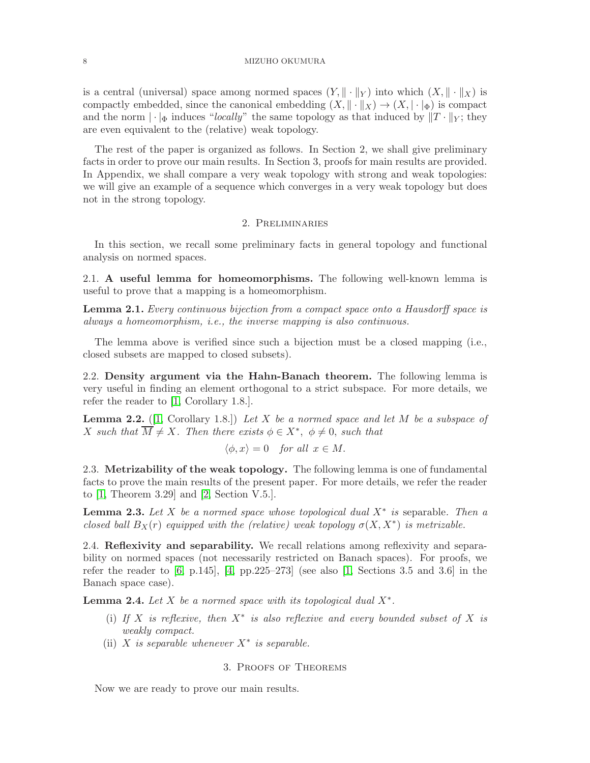#### 8 MIZUHO OKUMURA

is a central (universal) space among normed spaces  $(Y, \|\cdot\|_Y)$  into which  $(X, \|\cdot\|_X)$  is compactly embedded, since the canonical embedding  $(X, \|\cdot\|_X) \to (X, |\cdot|_{\Phi})$  is compact and the norm  $\|\cdot\|_{\Phi}$  induces "locally" the same topology as that induced by  $\|T\cdot\|_{Y}$ ; they are even equivalent to the (relative) weak topology.

The rest of the paper is organized as follows. In Section 2, we shall give preliminary facts in order to prove our main results. In Section 3, proofs for main results are provided. In Appendix, we shall compare a very weak topology with strong and weak topologies: we will give an example of a sequence which converges in a very weak topology but does not in the strong topology.

# 2. Preliminaries

In this section, we recall some preliminary facts in general topology and functional analysis on normed spaces.

2.1. A useful lemma for homeomorphisms. The following well-known lemma is useful to prove that a mapping is a homeomorphism.

<span id="page-7-2"></span>Lemma 2.1. Every continuous bijection from a compact space onto a Hausdorff space is always a homeomorphism, i.e., the inverse mapping is also continuous.

The lemma above is verified since such a bijection must be a closed mapping (i.e., closed subsets are mapped to closed subsets).

2.2. Density argument via the Hahn-Banach theorem. The following lemma is very useful in finding an element orthogonal to a strict subspace. For more details, we refer the reader to [\[1,](#page-13-0) Corollary 1.8.].

<span id="page-7-3"></span>**Lemma 2.2.** ([\[1,](#page-13-0) Corollary 1.8.]) Let X be a normed space and let M be a subspace of X such that  $\overline{M} \neq X$ . Then there exists  $\phi \in X^*$ ,  $\phi \neq 0$ , such that

$$
\langle \phi, x \rangle = 0
$$
 for all  $x \in M$ .

2.3. Metrizability of the weak topology. The following lemma is one of fundamental facts to prove the main results of the present paper. For more details, we refer the reader to [\[1,](#page-13-0) Theorem 3.29] and [\[2,](#page-13-5) Section V.5.].

<span id="page-7-1"></span>**Lemma 2.3.** Let X be a normed space whose topological dual  $X^*$  is separable. Then a closed ball  $B_X(r)$  equipped with the (relative) weak topology  $\sigma(X, X^*)$  is metrizable.

2.4. Reflexivity and separability. We recall relations among reflexivity and separability on normed spaces (not necessarily restricted on Banach spaces). For proofs, we refer the reader to  $[6, p.145]$ ,  $[4, pp.225-273]$  (see also  $[1,$  Sections 3.5 and 3.6) in the Banach space case).

<span id="page-7-0"></span>**Lemma 2.4.** Let  $X$  be a normed space with its topological dual  $X^*$ .

- (i) If X is reflexive, then  $X^*$  is also reflexive and every bounded subset of X is weakly compact.
- (ii) X is separable whenever  $X^*$  is separable.

# 3. Proofs of Theorems

Now we are ready to prove our main results.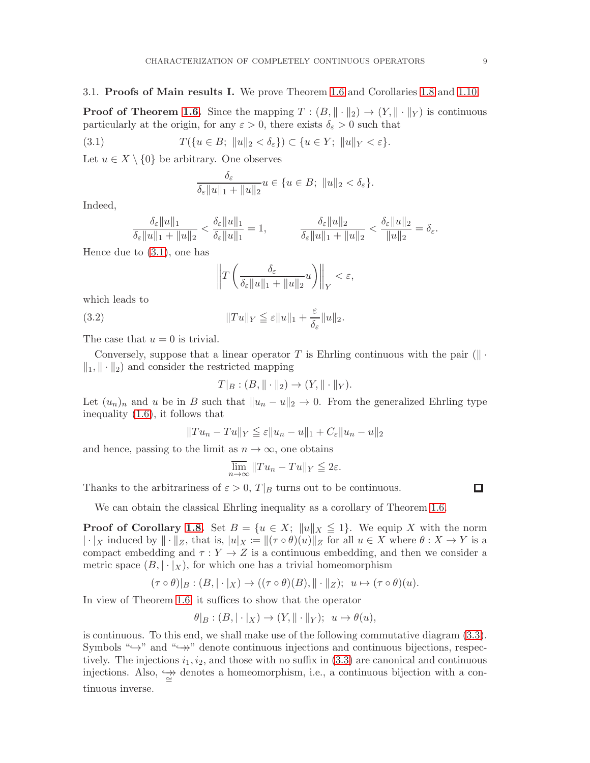### 3.1. Proofs of Main results I. We prove Theorem [1.6](#page-3-1) and Corollaries [1.8](#page-3-0) and [1.10.](#page-3-5)

**Proof of Theorem [1.6.](#page-3-1)** Since the mapping  $T : (B, \|\cdot\|_2) \to (Y, \|\cdot\|_Y)$  is continuous particularly at the origin, for any  $\varepsilon > 0$ , there exists  $\delta_{\varepsilon} > 0$  such that

(3.1) 
$$
T(\lbrace u \in B; ||u||_2 < \delta_{\varepsilon} \rbrace) \subset \lbrace u \in Y; ||u||_Y < \varepsilon \rbrace.
$$

Let  $u \in X \setminus \{0\}$  be arbitrary. One observes

<span id="page-8-0"></span>
$$
\frac{\delta_{\varepsilon}}{\delta_{\varepsilon}||u||_1 + ||u||_2}u \in \{u \in B; ||u||_2 < \delta_{\varepsilon}\}.
$$

Indeed,

$$
\frac{\delta_{\varepsilon}||u||_1}{\delta_{\varepsilon}||u||_1 + ||u||_2} < \frac{\delta_{\varepsilon}||u||_1}{\delta_{\varepsilon}||u||_1} = 1, \qquad \qquad \frac{\delta_{\varepsilon}||u||_2}{\delta_{\varepsilon}||u||_1 + ||u||_2} < \frac{\delta_{\varepsilon}||u||_2}{||u||_2} = \delta_{\varepsilon}.
$$

Hence due to [\(3.1\)](#page-8-0), one has

$$
\left\|T\left(\frac{\delta_{\varepsilon}}{\delta_{\varepsilon}||u||_1 + ||u||_2}u\right)\right\|_Y < \varepsilon,
$$

which leads to

(3.2) 
$$
||Tu||_Y \leq \varepsilon ||u||_1 + \frac{\varepsilon}{\delta_{\varepsilon}} ||u||_2.
$$

The case that  $u = 0$  is trivial.

Conversely, suppose that a linear operator T is Ehrling continuous with the pair  $(\|\cdot\|)$  $\|\cdot\|_2$  and consider the restricted mapping

$$
T|_B : (B, \|\cdot\|_2) \to (Y, \|\cdot\|_Y).
$$

Let  $(u_n)_n$  and u be in B such that  $||u_n - u||_2 \to 0$ . From the generalized Ehrling type inequality [\(1.6\)](#page-3-1), it follows that

$$
||Tu_n - Tu||_Y \leqq \varepsilon ||u_n - u||_1 + C_{\varepsilon} ||u_n - u||_2
$$

and hence, passing to the limit as  $n \to \infty$ , one obtains

$$
\overline{\lim}_{n \to \infty} ||Tu_n - Tu||_Y \leqq 2\varepsilon.
$$

Thanks to the arbitrariness of  $\varepsilon > 0$ ,  $T|_B$  turns out to be continuous.

We can obtain the classical Ehrling inequality as a corollary of Theorem [1.6.](#page-3-1)

**Proof of Corollary [1.8.](#page-3-0)** Set  $B = \{u \in X; ||u||_X \leq 1\}$ . We equip X with the norm  $|\cdot|_X$  induced by  $\|\cdot\|_Z$ , that is,  $|u|_X := \|(\tau \circ \theta)(u)\|_Z$  for all  $u \in X$  where  $\theta : X \to Y$  is a compact embedding and  $\tau : Y \to Z$  is a continuous embedding, and then we consider a metric space  $(B, |\cdot|_X)$ , for which one has a trivial homeomorphism

 $(\tau \circ \theta)|_B : (B, |\cdot|_X) \to ((\tau \circ \theta)(B), ||\cdot||_Z); u \mapsto (\tau \circ \theta)(u).$ 

In view of Theorem [1.6,](#page-3-1) it suffices to show that the operator

$$
\theta|_B : (B, |\cdot|_X) \to (Y, ||\cdot||_Y); \ u \mapsto \theta(u),
$$

is continuous. To this end, we shall make use of the following commutative diagram [\(3.3\)](#page-9-0). Symbols " $\hookrightarrow$ " and " $\hookrightarrow$ " denote continuous injections and continuous bijections, respectively. The injections  $i_1, i_2$ , and those with no suffix in  $(3.3)$  are canonical and continuous injections. Also,  $\frac{\leftrightarrow}{\cong}$  denotes a homeomorphism, i.e., a continuous bijection with a continuous inverse.

 $\Box$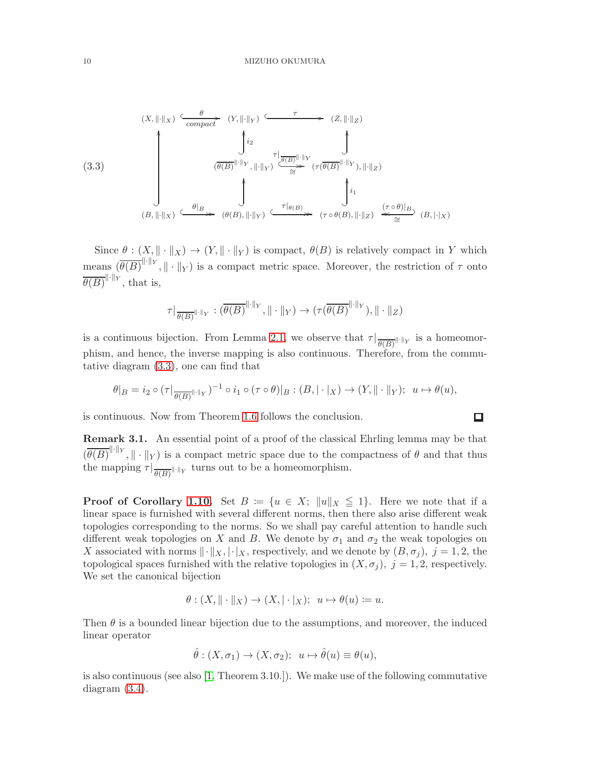<span id="page-9-0"></span>(3.3)  

$$
\begin{array}{c}\n\left(\begin{array}{c}\n\ddots & \cdots & \cdots & \cdots \\
\hline\n\ddots & \cdots & \cdots & \cdots \\
\hline\n\ddots & \ddots & \ddots & \vdots \\
\hline\n\end{array}\right) & \begin{array}{c}\n\ddots & \cdots & \cdots & \cdots \\
\hline\n\ddots & \ddots & \ddots & \vdots \\
\hline\n\end{array}\right) & \begin{array}{c}\n\ddots & \cdots & \ddots & \vdots \\
\hline\n\ddots & \ddots & \ddots & \vdots \\
\hline\n\end{array}\right) & \begin{array}{c}\n\ddots & \cdots & \ddots & \vdots \\
\hline\n\ddots & \ddots & \ddots & \vdots \\
\hline\n\end{array}\right) & \begin{array}{c}\n\ddots & \cdots & \ddots & \vdots \\
\hline\n\ddots & \ddots & \ddots & \vdots \\
\hline\n\end{array}\right) & \begin{array}{c}\n\ddots & \cdots & \ddots & \vdots \\
\hline\n\ddots & \ddots & \ddots & \vdots \\
\hline\n\ddots & \ddots & \ddots & \vdots \\
\hline\n\ddots & \ddots & \ddots & \vdots \\
\hline\n\ddots & \ddots & \ddots & \vdots \\
\hline\n\ddots & \ddots & \ddots & \vdots \\
\hline\n\ddots & \ddots & \ddots & \vdots \\
\hline\n\ddots & \ddots & \ddots & \vdots \\
\hline\n\ddots & \ddots & \ddots & \vdots \\
\hline\n\ddots & \ddots & \ddots & \vdots \\
\hline\n\ddots & \ddots & \ddots & \vdots \\
\hline\n\ddots & \ddots & \ddots & \vdots \\
\hline\n\ddots & \ddots & \ddots & \vdots \\
\hline\n\ddots & \ddots & \ddots & \vdots \\
\hline\n\ddots & \ddots & \ddots & \vdots \\
\hline\n\ddots & \ddots & \ddots & \vdots \\
\hline\n\ddots & \ddots & \ddots & \vdots \\
\hline\n\ddots & \ddots & \ddots & \vdots \\
\hline\n\ddots & \ddots & \ddots & \vdots \\
\hline\n\ddots & \ddots & \ddots & \vdots \\
\hline\n\ddots & \ddots & \ddots & \vdots \\
\hline\n\ddots & \ddots & \ddots & \vdots \\
$$

Since  $\theta$  :  $(X, \|\cdot\|_X) \to (Y, \|\cdot\|_Y)$  is compact,  $\theta(B)$  is relatively compact in Y which means  $(\overline{\theta(B)}^{\|\cdot\|_Y}, \|\cdot\|_Y)$  is a compact metric space. Moreover, the restriction of  $\tau$  onto  $\overline{\theta(B)}^{\|\cdot\|_Y}$ , that is,

$$
\tau|_{\overline{\theta(B)}} \|\cdot\|_{Y} : (\overline{\theta(B)}^{\|\cdot\|_{Y}}, \|\cdot\|_{Y}) \to (\tau(\overline{\theta(B)}^{\|\cdot\|_{Y}}), \|\cdot\|_{Z})
$$

is a continuous bijection. From Lemma [2.1,](#page-7-2) we observe that  $\tau|_{\overline{\theta(B)}}$  is a homeomorphism, and hence, the inverse mapping is also continuous. Therefore, from the commutative diagram [\(3.3\)](#page-9-0), one can find that

$$
\theta|_B = i_2 \circ (\tau|_{\overline{\theta(B)}} \otimes \tau)_{\tau \otimes \tau}^{-1} \circ i_1 \circ (\tau \circ \theta)|_B : (B, |\cdot|_X) \to (Y, \|\cdot\|_Y); \ \ u \mapsto \theta(u),
$$

 $\Box$ 

is continuous. Now from Theorem [1.6](#page-3-1) follows the conclusion.

Remark 3.1. An essential point of a proof of the classical Ehrling lemma may be that  $(\overline{\theta(B)}^{\|\cdot\|_Y}, \|\cdot\|_Y)$  is a compact metric space due to the compactness of  $\theta$  and that thus the mapping  $\tau|_{\overline{\theta(B)}}$  turns out to be a homeomorphism.

**Proof of Corollary [1.10.](#page-3-5)** Set  $B := \{u \in X; ||u||_X \leq 1\}$ . Here we note that if a linear space is furnished with several different norms, then there also arise different weak topologies corresponding to the norms. So we shall pay careful attention to handle such different weak topologies on X and B. We denote by  $\sigma_1$  and  $\sigma_2$  the weak topologies on X associated with norms  $\|\cdot\|_X, |\cdot|_X$ , respectively, and we denote by  $(B, \sigma_j), j = 1, 2$ , the topological spaces furnished with the relative topologies in  $(X, \sigma_i)$ ,  $j = 1, 2$ , respectively. We set the canonical bijection

$$
\theta : (X, \|\cdot\|_X) \to (X, |\cdot|_X); \ \ u \mapsto \theta(u) \coloneqq u.
$$

Then  $\theta$  is a bounded linear bijection due to the assumptions, and moreover, the induced linear operator

$$
\hat{\theta} : (X, \sigma_1) \to (X, \sigma_2); \ \ u \mapsto \hat{\theta}(u) \equiv \theta(u),
$$

is also continuous (see also [\[1,](#page-13-0) Theorem 3.10.]). We make use of the following commutative diagram [\(3.4\)](#page-10-0).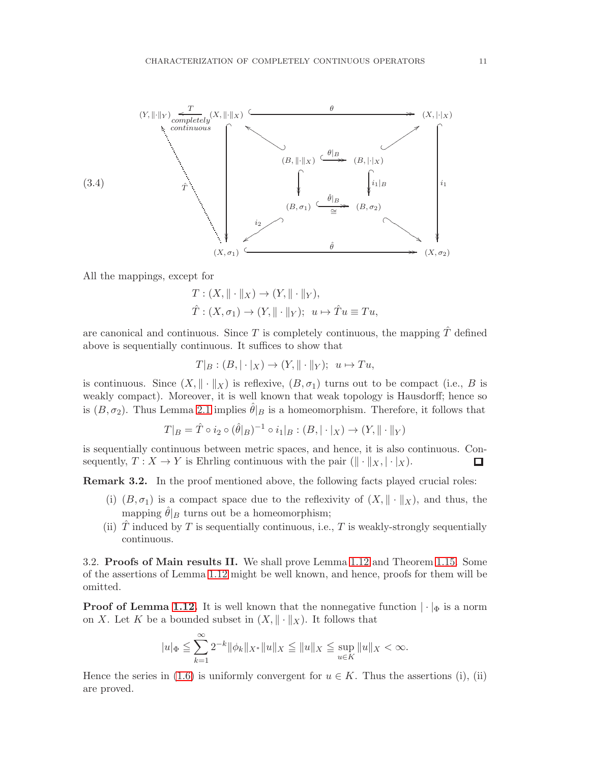<span id="page-10-0"></span>

All the mappings, except for

 $T: (X, \|\cdot\|_X) \to (Y, \|\cdot\|_Y),$  $\hat{T}: (X, \sigma_1) \to (Y, \|\cdot\|_Y); u \mapsto \hat{T}u \equiv Tu.$ 

are canonical and continuous. Since T is completely continuous, the mapping  $\hat{T}$  defined above is sequentially continuous. It suffices to show that

$$
T|_B : (B, |\cdot|_X) \to (Y, ||\cdot||_Y); u \mapsto Tu,
$$

is continuous. Since  $(X, \|\cdot\|_X)$  is reflexive,  $(B, \sigma_1)$  turns out to be compact (i.e., B is weakly compact). Moreover, it is well known that weak topology is Hausdorff; hence so is  $(B, \sigma_2)$ . Thus Lemma [2.1](#page-7-2) implies  $\hat{\theta}|_B$  is a homeomorphism. Therefore, it follows that

$$
T|_{B} = \hat{T} \circ i_{2} \circ (\hat{\theta}|_{B})^{-1} \circ i_{1}|_{B} : (B, |\cdot|_{X}) \to (Y, \|\cdot\|_{Y})
$$

is sequentially continuous between metric spaces, and hence, it is also continuous. Consequently,  $T : X \to Y$  is Ehrling continuous with the pair  $(\|\cdot\|_X, |\cdot|_X)$ . □

Remark 3.2. In the proof mentioned above, the following facts played crucial roles:

- (i)  $(B, \sigma_1)$  is a compact space due to the reflexivity of  $(X, \|\cdot\|_X)$ , and thus, the mapping  $\hat{\theta}|_B$  turns out be a homeomorphism;
- (ii)  $\hat{T}$  induced by T is sequentially continuous, i.e., T is weakly-strongly sequentially continuous.

3.2. Proofs of Main results II. We shall prove Lemma [1.12](#page-4-0) and Theorem [1.15.](#page-5-0) Some of the assertions of Lemma [1.12](#page-4-0) might be well known, and hence, proofs for them will be omitted.

**Proof of Lemma [1.12.](#page-4-0)** It is well known that the nonnegative function  $|\cdot|_{\Phi}$  is a norm on X. Let K be a bounded subset in  $(X, \|\cdot\|_X)$ . It follows that

$$
|u|_{\Phi} \le \sum_{k=1}^{\infty} 2^{-k} \|\phi_k\|_{X^*} \|u\|_{X} \le \|u\|_{X} \le \sup_{u \in K} \|u\|_{X} < \infty.
$$

Hence the series in [\(1.6\)](#page-4-1) is uniformly convergent for  $u \in K$ . Thus the assertions (i), (ii) are proved.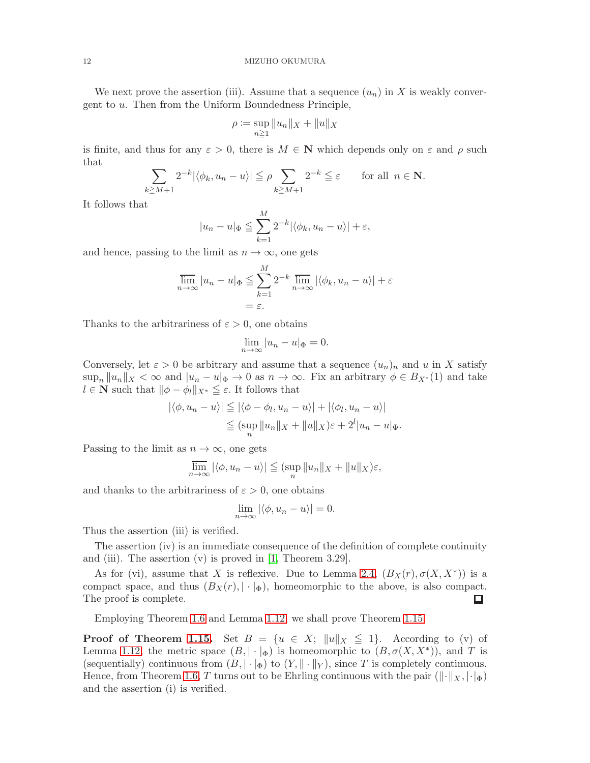We next prove the assertion (iii). Assume that a sequence  $(u_n)$  in X is weakly convergent to u. Then from the Uniform Boundedness Principle,

$$
\rho \coloneqq \sup_{n \ge 1} \|u_n\|_X + \|u\|_X
$$

is finite, and thus for any  $\varepsilon > 0$ , there is  $M \in \mathbb{N}$  which depends only on  $\varepsilon$  and  $\rho$  such that

$$
\sum_{k\geq M+1} 2^{-k} |\langle \phi_k, u_n - u \rangle| \leq \rho \sum_{k\geq M+1} 2^{-k} \leq \varepsilon \quad \text{for all } n \in \mathbb{N}.
$$

It follows that

$$
|u_n - u|_{\Phi} \le \sum_{k=1}^{M} 2^{-k} |\langle \phi_k, u_n - u \rangle| + \varepsilon,
$$

and hence, passing to the limit as  $n \to \infty$ , one gets

$$
\overline{\lim}_{n \to \infty} |u_n - u|_{\Phi} \leqq \sum_{k=1}^{M} 2^{-k} \overline{\lim}_{n \to \infty} |\langle \phi_k, u_n - u \rangle| + \varepsilon
$$

$$
= \varepsilon.
$$

Thanks to the arbitrariness of  $\varepsilon > 0$ , one obtains

$$
\lim_{n \to \infty} |u_n - u|_{\Phi} = 0.
$$

Conversely, let  $\varepsilon > 0$  be arbitrary and assume that a sequence  $(u_n)_n$  and u in X satisfy  $\sup_n ||u_n||_X < \infty$  and  $|u_n - u|_{\Phi} \to 0$  as  $n \to \infty$ . Fix an arbitrary  $\phi \in B_{X^*}(1)$  and take  $l \in \mathbb{N}$  such that  $\|\phi - \phi_l\|_{X^*} \leq \varepsilon$ . It follows that

$$
|\langle \phi, u_n - u \rangle| \leq |\langle \phi - \phi_l, u_n - u \rangle| + |\langle \phi_l, u_n - u \rangle|
$$
  

$$
\leq (\sup_n ||u_n||_X + ||u||_X) \varepsilon + 2^l |u_n - u|_{\Phi}.
$$

Passing to the limit as  $n \to \infty$ , one gets

$$
\overline{\lim}_{n \to \infty} |\langle \phi, u_n - u \rangle| \leqq (\sup_n ||u_n||_X + ||u||_X)\varepsilon,
$$

and thanks to the arbitrariness of  $\varepsilon > 0$ , one obtains

$$
\lim_{n \to \infty} |\langle \phi, u_n - u \rangle| = 0.
$$

Thus the assertion (iii) is verified.

The assertion (iv) is an immediate consequence of the definition of complete continuity and (iii). The assertion  $(v)$  is proved in [\[1,](#page-13-0) Theorem 3.29].

As for (vi), assume that X is reflexive. Due to Lemma [2.4,](#page-7-0)  $(B_X(r), \sigma(X, X^*))$  is a compact space, and thus  $(B_X(r), |\cdot|_\Phi)$ , homeomorphic to the above, is also compact. The proof is complete.  $\Box$ 

Employing Theorem [1.6](#page-3-1) and Lemma [1.12,](#page-4-0) we shall prove Theorem [1.15.](#page-5-0)

**Proof of Theorem [1.15.](#page-5-0)** Set  $B = \{u \in X; ||u||_X \leq 1\}$ . According to (v) of Lemma [1.12,](#page-4-0) the metric space  $(B, |\cdot|_{\Phi})$  is homeomorphic to  $(B, \sigma(X, X^*))$ , and T is (sequentially) continuous from  $(B, |\cdot|_{\Phi})$  to  $(Y, ||\cdot||_{Y})$ , since T is completely continuous. Hence, from Theorem [1.6,](#page-3-1) T turns out to be Ehrling continuous with the pair  $(\Vert \cdot \Vert_X, \Vert \cdot \Vert_{\Phi})$ and the assertion (i) is verified.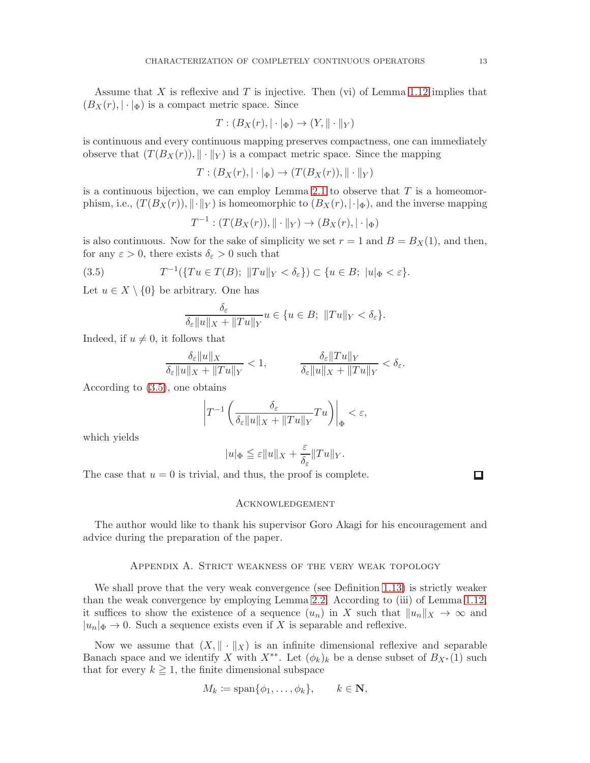Assume that  $X$  is reflexive and  $T$  is injective. Then (vi) of Lemma [1.12](#page-4-0) implies that  $(B_X(r), |\cdot|_{\Phi})$  is a compact metric space. Since

$$
T: (B_X(r), |\cdot|_{\Phi}) \to (Y, \|\cdot\|_Y)
$$

is continuous and every continuous mapping preserves compactness, one can immediately observe that  $(T(B_X(r)), \|\cdot\|_Y)$  is a compact metric space. Since the mapping

$$
T: (B_X(r), |\cdot|_{\Phi}) \to (T(B_X(r)), ||\cdot||_Y)
$$

is a continuous bijection, we can employ Lemma [2.1](#page-7-2) to observe that  $T$  is a homeomorphism, i.e.,  $(T(B_X(r)), \|\cdot\|_Y)$  is homeomorphic to  $(B_X(r), \|\cdot\|_{\Phi})$ , and the inverse mapping

$$
T^{-1}: (T(B_X(r)), \|\cdot\|_Y) \to (B_X(r), |\cdot|_{\Phi})
$$

is also continuous. Now for the sake of simplicity we set  $r = 1$  and  $B = B<sub>X</sub>(1)$ , and then, for any  $\varepsilon > 0$ , there exists  $\delta_{\varepsilon} > 0$  such that

(3.5) 
$$
T^{-1}(\lbrace Tu \in T(B); ||Tu||_Y < \delta_{\varepsilon} \rbrace) \subset \lbrace u \in B; ||u||_{\Phi} < \varepsilon \rbrace.
$$

Let  $u \in X \setminus \{0\}$  be arbitrary. One has

<span id="page-12-0"></span>
$$
\frac{\delta_{\varepsilon}}{\delta_{\varepsilon}||u||_X + ||Tu||_Y}u \in \{u \in B; ||Tu||_Y < \delta_{\varepsilon}\}.
$$

Indeed, if  $u \neq 0$ , it follows that

$$
\frac{\delta_{\varepsilon}||u||_X}{\delta_{\varepsilon}||u||_X + ||Tu||_Y} < 1, \qquad \frac{\delta_{\varepsilon}||Tu||_Y}{\delta_{\varepsilon}||u||_X + ||Tu||_Y} < \delta_{\varepsilon}.
$$

According to [\(3.5\)](#page-12-0), one obtains

$$
\left|T^{-1}\left(\frac{\delta_{\varepsilon}}{\delta_{\varepsilon}||u||_X + \|Tu\|_Y}Tu\right)\right|_{\Phi} < \varepsilon,
$$

which yields

$$
|u|_\Phi\leqq \varepsilon \|u\|_X+\frac{\varepsilon}{\delta_\varepsilon}\|Tu\|_Y.
$$

The case that  $u = 0$  is trivial, and thus, the proof is complete.

 $\Box$ 

#### Acknowledgement

The author would like to thank his supervisor Goro Akagi for his encouragement and advice during the preparation of the paper.

## Appendix A. Strict weakness of the very weak topology

We shall prove that the very weak convergence (see Definition [1.13\)](#page-5-3) is strictly weaker than the weak convergence by employing Lemma [2.2.](#page-7-3) According to (iii) of Lemma [1.12,](#page-4-0) it suffices to show the existence of a sequence  $(u_n)$  in X such that  $||u_n||_X \to \infty$  and  $|u_n|\Phi \to 0$ . Such a sequence exists even if X is separable and reflexive.

Now we assume that  $(X, \|\cdot\|_X)$  is an infinite dimensional reflexive and separable Banach space and we identify X with  $X^{**}$ . Let  $(\phi_k)_k$  be a dense subset of  $B_{X^*}(1)$  such that for every  $k \geq 1$ , the finite dimensional subspace

$$
M_k \coloneqq \text{span}\{\phi_1, \dots, \phi_k\}, \qquad k \in \mathbf{N},
$$